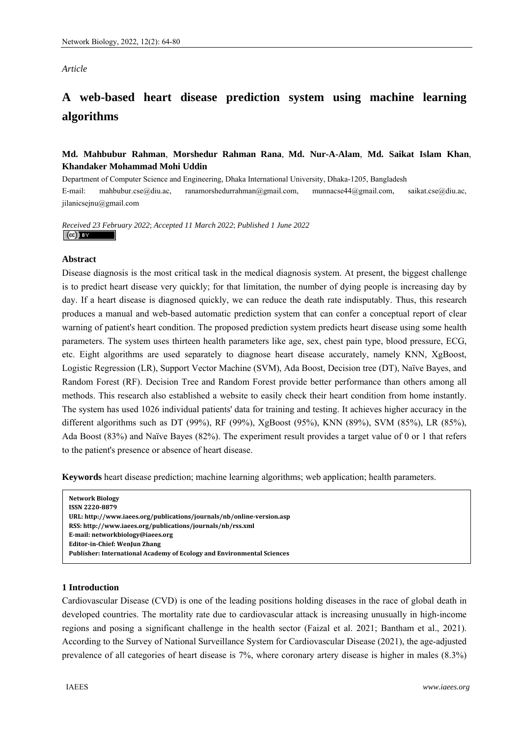#### *Article*

# **A web-based heart disease prediction system using machine learning algorithms**

# **Md. Mahbubur Rahman**, **Morshedur Rahman Rana**, **Md. Nur-A-Alam**, **Md. Saikat Islam Khan**, **Khandaker Mohammad Mohi Uddin**

Department of Computer Science and Engineering, Dhaka International University, Dhaka-1205, Bangladesh E-mail: mahbubur.cse@diu.ac, ranamorshedurrahman@gmail.com, munnacse44@gmail.com, saikat.cse@diu.ac, jilanicsejnu@gmail.com

#### *Received 23 February 2022*; *Accepted 11 March 2022*; *Published 1 June 2022*   $\left(\mathrm{cc}\right)$  BY

## **Abstract**

Disease diagnosis is the most critical task in the medical diagnosis system. At present, the biggest challenge is to predict heart disease very quickly; for that limitation, the number of dying people is increasing day by day. If a heart disease is diagnosed quickly, we can reduce the death rate indisputably. Thus, this research produces a manual and web-based automatic prediction system that can confer a conceptual report of clear warning of patient's heart condition. The proposed prediction system predicts heart disease using some health parameters. The system uses thirteen health parameters like age, sex, chest pain type, blood pressure, ECG, etc. Eight algorithms are used separately to diagnose heart disease accurately, namely KNN, XgBoost, Logistic Regression (LR), Support Vector Machine (SVM), Ada Boost, Decision tree (DT), Naïve Bayes, and Random Forest (RF). Decision Tree and Random Forest provide better performance than others among all methods. This research also established a website to easily check their heart condition from home instantly. The system has used 1026 individual patients' data for training and testing. It achieves higher accuracy in the different algorithms such as DT (99%), RF (99%), XgBoost (95%), KNN (89%), SVM (85%), LR (85%), Ada Boost (83%) and Naïve Bayes (82%). The experiment result provides a target value of 0 or 1 that refers to the patient's presence or absence of heart disease.

**Keywords** heart disease prediction; machine learning algorithms; web application; health parameters.

| <b>Network Biology</b>                                                 |
|------------------------------------------------------------------------|
| ISSN 2220-8879                                                         |
| URL: http://www.iaees.org/publications/journals/nb/online-version.asp  |
| RSS: http://www.iaees.org/publications/journals/nb/rss.xml             |
| E-mail: networkbiology@iaees.org                                       |
| <b>Editor-in-Chief: WenJun Zhang</b>                                   |
| Publisher: International Academy of Ecology and Environmental Sciences |

## **1 Introduction**

Cardiovascular Disease (CVD) is one of the leading positions holding diseases in the race of global death in developed countries. The mortality rate due to cardiovascular attack is increasing unusually in high-income regions and posing a significant challenge in the health sector (Faizal et al. 2021; Bantham et al., 2021). According to the Survey of National Surveillance System for Cardiovascular Disease (2021), the age-adjusted prevalence of all categories of heart disease is 7%, where coronary artery disease is higher in males (8.3%)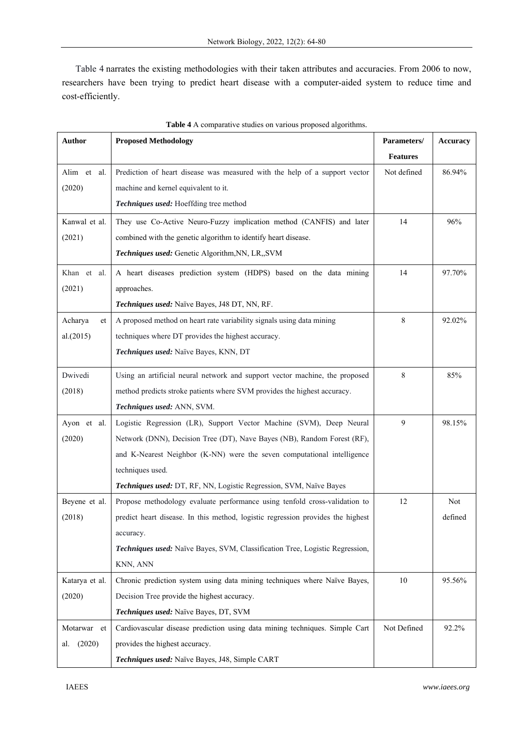Table 4 narrates the existing methodologies with their taken attributes and accuracies. From 2006 to now, researchers have been trying to predict heart disease with a computer-aided system to reduce time and cost-efficiently.

| <b>Author</b>  | <b>Proposed Methodology</b>                                                     | Parameters/     | Accuracy |
|----------------|---------------------------------------------------------------------------------|-----------------|----------|
|                |                                                                                 | <b>Features</b> |          |
| Alim et al.    | Prediction of heart disease was measured with the help of a support vector      | Not defined     | 86.94%   |
| (2020)         | machine and kernel equivalent to it.                                            |                 |          |
|                | Techniques used: Hoeffding tree method                                          |                 |          |
| Kanwal et al.  | They use Co-Active Neuro-Fuzzy implication method (CANFIS) and later            | 14              | 96%      |
| (2021)         | combined with the genetic algorithm to identify heart disease.                  |                 |          |
|                | Techniques used: Genetic Algorithm, NN, LR,, SVM                                |                 |          |
| Khan et al.    | A heart diseases prediction system (HDPS) based on the data mining              | 14              | 97.70%   |
| (2021)         | approaches.                                                                     |                 |          |
|                | Techniques used: Naïve Bayes, J48 DT, NN, RF.                                   |                 |          |
| Acharya<br>et  | A proposed method on heart rate variability signals using data mining           | 8               | 92.02%   |
| al.(2015)      | techniques where DT provides the highest accuracy.                              |                 |          |
|                | Techniques used: Naïve Bayes, KNN, DT                                           |                 |          |
| Dwivedi        | Using an artificial neural network and support vector machine, the proposed     | 8               | 85%      |
| (2018)         | method predicts stroke patients where SVM provides the highest accuracy.        |                 |          |
|                | Techniques used: ANN, SVM.                                                      |                 |          |
| Ayon et al.    | Logistic Regression (LR), Support Vector Machine (SVM), Deep Neural             | 9               | 98.15%   |
| (2020)         | Network (DNN), Decision Tree (DT), Nave Bayes (NB), Random Forest (RF),         |                 |          |
|                | and K-Nearest Neighbor (K-NN) were the seven computational intelligence         |                 |          |
|                | techniques used.                                                                |                 |          |
|                | Techniques used: DT, RF, NN, Logistic Regression, SVM, Naïve Bayes              |                 |          |
| Beyene et al.  | Propose methodology evaluate performance using tenfold cross-validation to      | 12              | Not      |
| (2018)         | predict heart disease. In this method, logistic regression provides the highest |                 | defined  |
|                | accuracy.                                                                       |                 |          |
|                | Techniques used: Naïve Bayes, SVM, Classification Tree, Logistic Regression,    |                 |          |
|                | KNN, ANN                                                                        |                 |          |
| Katarya et al. | Chronic prediction system using data mining techniques where Naïve Bayes,       | 10              | 95.56%   |
| (2020)         | Decision Tree provide the highest accuracy.                                     |                 |          |
|                | Techniques used: Naïve Bayes, DT, SVM                                           |                 |          |
| Motarwar et    | Cardiovascular disease prediction using data mining techniques. Simple Cart     | Not Defined     | 92.2%    |
| (2020)<br>al.  | provides the highest accuracy.                                                  |                 |          |
|                | Techniques used: Naïve Bayes, J48, Simple CART                                  |                 |          |

**Table 4** A comparative studies on various proposed algorithms.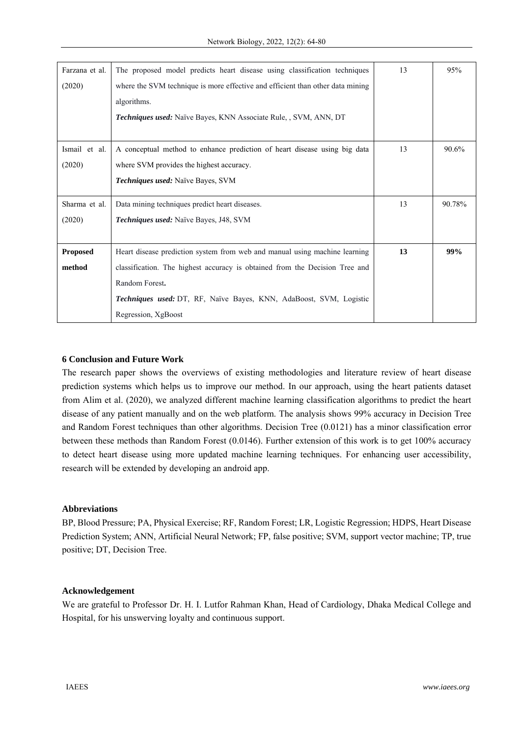| Farzana et al.  | The proposed model predicts heart disease using classification techniques      | 13 | 95%    |
|-----------------|--------------------------------------------------------------------------------|----|--------|
| (2020)          | where the SVM technique is more effective and efficient than other data mining |    |        |
|                 | algorithms.                                                                    |    |        |
|                 | <b>Techniques used:</b> Naïve Bayes, KNN Associate Rule, , SVM, ANN, DT        |    |        |
|                 |                                                                                |    |        |
| Ismail et al.   | A conceptual method to enhance prediction of heart disease using big data      | 13 | 90.6%  |
| (2020)          | where SVM provides the highest accuracy.                                       |    |        |
|                 | Techniques used: Naïve Bayes, SVM                                              |    |        |
|                 |                                                                                |    |        |
| Sharma et al.   | Data mining techniques predict heart diseases.                                 | 13 | 90.78% |
| (2020)          | <b>Techniques used:</b> Naïve Bayes, J48, SVM                                  |    |        |
|                 |                                                                                |    |        |
| <b>Proposed</b> | Heart disease prediction system from web and manual using machine learning     | 13 | 99%    |
| method          | classification. The highest accuracy is obtained from the Decision Tree and    |    |        |
|                 | Random Forest.                                                                 |    |        |
|                 | <b>Techniques used:</b> DT, RF, Naïve Bayes, KNN, AdaBoost, SVM, Logistic      |    |        |
|                 | Regression, XgBoost                                                            |    |        |

# **6 Conclusion and Future Work**

The research paper shows the overviews of existing methodologies and literature review of heart disease prediction systems which helps us to improve our method. In our approach, using the heart patients dataset from Alim et al. (2020), we analyzed different machine learning classification algorithms to predict the heart disease of any patient manually and on the web platform. The analysis shows 99% accuracy in Decision Tree and Random Forest techniques than other algorithms. Decision Tree (0.0121) has a minor classification error between these methods than Random Forest (0.0146). Further extension of this work is to get 100% accuracy to detect heart disease using more updated machine learning techniques. For enhancing user accessibility, research will be extended by developing an android app.

## **Abbreviations**

BP, Blood Pressure; PA, Physical Exercise; RF, Random Forest; LR, Logistic Regression; HDPS, Heart Disease Prediction System; ANN, Artificial Neural Network; FP, false positive; SVM, support vector machine; TP, true positive; DT, Decision Tree.

## **Acknowledgement**

We are grateful to Professor Dr. H. I. Lutfor Rahman Khan, Head of Cardiology, Dhaka Medical College and Hospital, for his unswerving loyalty and continuous support.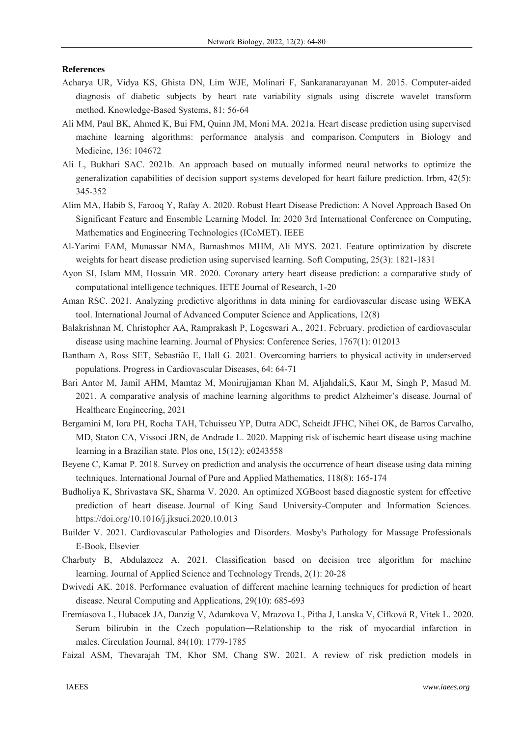#### **References**

- Acharya UR, Vidya KS, Ghista DN, Lim WJE, Molinari F, Sankaranarayanan M. 2015. Computer-aided diagnosis of diabetic subjects by heart rate variability signals using discrete wavelet transform method. Knowledge-Based Systems, 81: 56-64
- Ali MM, Paul BK, Ahmed K, Bui FM, Quinn JM, Moni MA. 2021a. Heart disease prediction using supervised machine learning algorithms: performance analysis and comparison. Computers in Biology and Medicine, 136: 104672
- Ali L, Bukhari SAC. 2021b. An approach based on mutually informed neural networks to optimize the generalization capabilities of decision support systems developed for heart failure prediction. Irbm, 42(5): 345-352
- Alim MA, Habib S, Farooq Y, Rafay A. 2020. Robust Heart Disease Prediction: A Novel Approach Based On Significant Feature and Ensemble Learning Model. In: 2020 3rd International Conference on Computing, Mathematics and Engineering Technologies (ICoMET). IEEE
- Al-Yarimi FAM, Munassar NMA, Bamashmos MHM, Ali MYS. 2021. Feature optimization by discrete weights for heart disease prediction using supervised learning. Soft Computing, 25(3): 1821-1831
- Ayon SI, Islam MM, Hossain MR. 2020. Coronary artery heart disease prediction: a comparative study of computational intelligence techniques. IETE Journal of Research, 1-20
- Aman RSC. 2021. Analyzing predictive algorithms in data mining for cardiovascular disease using WEKA tool. International Journal of Advanced Computer Science and Applications, 12(8)
- Balakrishnan M, Christopher AA, Ramprakash P, Logeswari A., 2021. February. prediction of cardiovascular disease using machine learning. Journal of Physics: Conference Series, 1767(1): 012013
- Bantham A, Ross SET, Sebastião E, Hall G. 2021. Overcoming barriers to physical activity in underserved populations. Progress in Cardiovascular Diseases, 64: 64-71
- Bari Antor M, Jamil AHM, Mamtaz M, Monirujjaman Khan M, Aljahdali,S, Kaur M, Singh P, Masud M. 2021. A comparative analysis of machine learning algorithms to predict Alzheimer's disease. Journal of Healthcare Engineering, 2021
- Bergamini M, Iora PH, Rocha TAH, Tchuisseu YP, Dutra ADC, Scheidt JFHC, Nihei OK, de Barros Carvalho, MD, Staton CA, Vissoci JRN, de Andrade L. 2020. Mapping risk of ischemic heart disease using machine learning in a Brazilian state. Plos one, 15(12): e0243558
- Beyene C, Kamat P. 2018. Survey on prediction and analysis the occurrence of heart disease using data mining techniques. International Journal of Pure and Applied Mathematics, 118(8): 165-174
- Budholiya K, Shrivastava SK, Sharma V. 2020. An optimized XGBoost based diagnostic system for effective prediction of heart disease. Journal of King Saud University-Computer and Information Sciences. https://doi.org/10.1016/j.jksuci.2020.10.013
- Builder V. 2021. Cardiovascular Pathologies and Disorders. Mosby's Pathology for Massage Professionals E-Book, Elsevier
- Charbuty B, Abdulazeez A. 2021. Classification based on decision tree algorithm for machine learning. Journal of Applied Science and Technology Trends, 2(1): 20-28
- Dwivedi AK. 2018. Performance evaluation of different machine learning techniques for prediction of heart disease. Neural Computing and Applications, 29(10): 685-693
- Eremiasova L, Hubacek JA, Danzig V, Adamkova V, Mrazova L, Pitha J, Lanska V, Cífková R, Vitek L. 2020. Serum bilirubin in the Czech population―Relationship to the risk of myocardial infarction in males. Circulation Journal, 84(10): 1779-1785
- Faizal ASM, Thevarajah TM, Khor SM, Chang SW. 2021. A review of risk prediction models in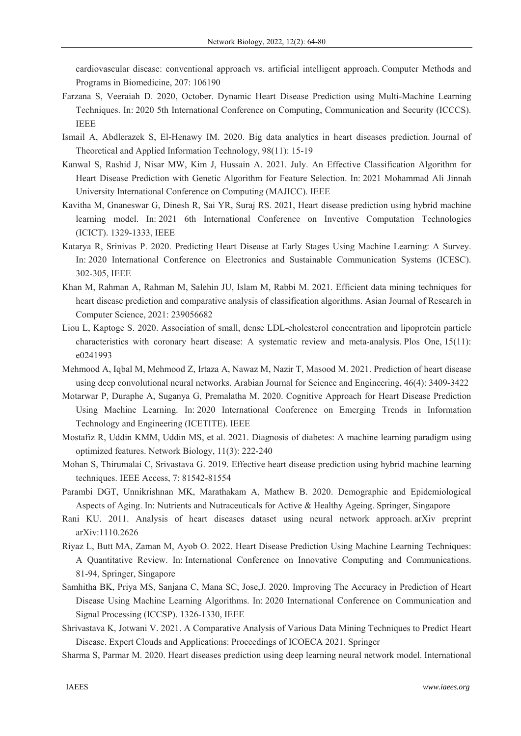cardiovascular disease: conventional approach vs. artificial intelligent approach. Computer Methods and Programs in Biomedicine, 207: 106190

- Farzana S, Veeraiah D. 2020, October. Dynamic Heart Disease Prediction using Multi-Machine Learning Techniques. In: 2020 5th International Conference on Computing, Communication and Security (ICCCS). IEEE
- Ismail A, Abdlerazek S, El-Henawy IM. 2020. Big data analytics in heart diseases prediction. Journal of Theoretical and Applied Information Technology, 98(11): 15-19
- Kanwal S, Rashid J, Nisar MW, Kim J, Hussain A. 2021. July. An Effective Classification Algorithm for Heart Disease Prediction with Genetic Algorithm for Feature Selection. In: 2021 Mohammad Ali Jinnah University International Conference on Computing (MAJICC). IEEE
- Kavitha M, Gnaneswar G, Dinesh R, Sai YR, Suraj RS. 2021, Heart disease prediction using hybrid machine learning model. In: 2021 6th International Conference on Inventive Computation Technologies (ICICT). 1329-1333, IEEE
- Katarya R, Srinivas P. 2020. Predicting Heart Disease at Early Stages Using Machine Learning: A Survey. In: 2020 International Conference on Electronics and Sustainable Communication Systems (ICESC). 302-305, IEEE
- Khan M, Rahman A, Rahman M, Salehin JU, Islam M, Rabbi M. 2021. Efficient data mining techniques for heart disease prediction and comparative analysis of classification algorithms. Asian Journal of Research in Computer Science, 2021: 239056682
- Liou L, Kaptoge S. 2020. Association of small, dense LDL-cholesterol concentration and lipoprotein particle characteristics with coronary heart disease: A systematic review and meta-analysis. Plos One, 15(11): e0241993
- Mehmood A, Iqbal M, Mehmood Z, Irtaza A, Nawaz M, Nazir T, Masood M. 2021. Prediction of heart disease using deep convolutional neural networks. Arabian Journal for Science and Engineering, 46(4): 3409-3422
- Motarwar P, Duraphe A, Suganya G, Premalatha M. 2020. Cognitive Approach for Heart Disease Prediction Using Machine Learning. In: 2020 International Conference on Emerging Trends in Information Technology and Engineering (ICETITE). IEEE
- Mostafiz R, Uddin KMM, Uddin MS, et al. 2021. Diagnosis of diabetes: A machine learning paradigm using optimized features. Network Biology, 11(3): 222-240
- Mohan S, Thirumalai C, Srivastava G. 2019. Effective heart disease prediction using hybrid machine learning techniques. IEEE Access, 7: 81542-81554
- Parambi DGT, Unnikrishnan MK, Marathakam A, Mathew B. 2020. Demographic and Epidemiological Aspects of Aging. In: Nutrients and Nutraceuticals for Active & Healthy Ageing. Springer, Singapore
- Rani KU. 2011. Analysis of heart diseases dataset using neural network approach. arXiv preprint arXiv:1110.2626
- Riyaz L, Butt MA, Zaman M, Ayob O. 2022. Heart Disease Prediction Using Machine Learning Techniques: A Quantitative Review. In: International Conference on Innovative Computing and Communications. 81-94, Springer, Singapore
- Samhitha BK, Priya MS, Sanjana C, Mana SC, Jose,J. 2020. Improving The Accuracy in Prediction of Heart Disease Using Machine Learning Algorithms. In: 2020 International Conference on Communication and Signal Processing (ICCSP). 1326-1330, IEEE
- Shrivastava K, Jotwani V. 2021. A Comparative Analysis of Various Data Mining Techniques to Predict Heart Disease. Expert Clouds and Applications: Proceedings of ICOECA 2021. Springer
- Sharma S, Parmar M. 2020. Heart diseases prediction using deep learning neural network model. International